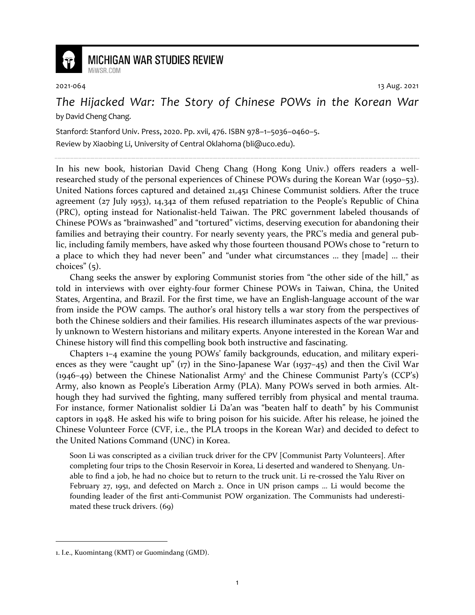

## **MICHIGAN WAR STUDIES REVIEW**

MiWSR COM

2021-064 13 Aug. 2021

## *The Hijacked War: The Story of Chinese POWs in the Korean War* by David Cheng Chang.

Stanford: Stanford Univ. Press, 2020. Pp. xvii, 476. ISBN 978–1–5036–0460–5.

Review by Xiaobing Li, University of Central Oklahoma (bli@uco.edu).

In his new book, historian David Cheng Chang (Hong Kong Univ.) offers readers a wellresearched study of the personal experiences of Chinese POWs during the Korean War (1950–53). United Nations forces captured and detained 21,451 Chinese Communist soldiers. After the truce agreement (27 July 1953), 14,342 of them refused repatriation to the People's Republic of China (PRC), opting instead for Nationalist-held Taiwan. The PRC government labeled thousands of Chinese POWs as "brainwashed" and "tortured" victims, deserving execution for abandoning their families and betraying their country. For nearly seventy years, the PRC's media and general public, including family members, have asked why those fourteen thousand POWs chose to "return to a place to which they had never been" and "under what circumstances … they [made] … their choices" (5).

Chang seeks the answer by exploring Communist stories from "the other side of the hill," as told in interviews with over eighty-four former Chinese POWs in Taiwan, China, the United States, Argentina, and Brazil. For the first time, we have an English-language account of the war from inside the POW camps. The author's oral history tells a war story from the perspectives of both the Chinese soldiers and their families. His research illuminates aspects of the war previously unknown to Western historians and military experts. Anyone interested in the Korean War and Chinese history will find this compelling book both instructive and fascinating.

Chapters 1–4 examine the young POWs' family backgrounds, education, and military experiences as they were "caught up" (17) in the Sino-Japanese War (1937–45) and then the Civil War (1946-49) between the Chinese Nationalist Army<sup>1</sup> and the Chinese Communist Party's (CCP's) Army, also known as People's Liberation Army (PLA). Many POWs served in both armies. Although they had survived the fighting, many suffered terribly from physical and mental trauma. For instance, former Nationalist soldier Li Da'an was "beaten half to death" by his Communist captors in 1948. He asked his wife to bring poison for his suicide. After his release, he joined the Chinese Volunteer Force (CVF, i.e., the PLA troops in the Korean War) and decided to defect to the United Nations Command (UNC) in Korea.

Soon Li was conscripted as a civilian truck driver for the CPV [Communist Party Volunteers]. After completing four trips to the Chosin Reservoir in Korea, Li deserted and wandered to Shenyang. Unable to find a job, he had no choice but to return to the truck unit. Li re-crossed the Yalu River on February 27, 1951, and defected on March 2. Once in UN prison camps … Li would become the founding leader of the first anti-Communist POW organization. The Communists had underestimated these truck drivers. (69)

<sup>1.</sup> I.e., Kuomintang (KMT) or Guomindang (GMD).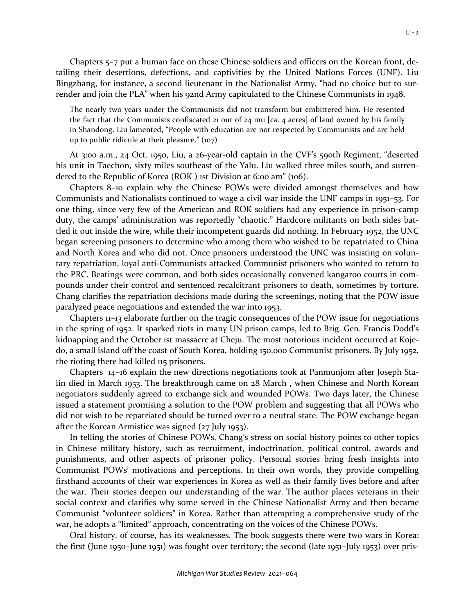Chapters 5–7 put a human face on these Chinese soldiers and officers on the Korean front, detailing their desertions, defections, and captivities by the United Nations Forces (UNF). Liu Bingzhang, for instance, a second lieutenant in the Nationalist Army, "had no choice but to sur-

The nearly two years under the Communists did not transform but embittered him. He resented the fact that the Communists confiscated 21 out of  $24$  mu [ca. 4 acres] of land owned by his family in Shandong. Liu lamented, "People with education are not respected by Communists and are held up to public ridicule at their pleasure." (107)

render and join the PLA" when his 92nd Army capitulated to the Chinese Communists in 1948.

At 3:00 a.m., 24 Oct. 1950, Liu, a 26-year-old captain in the CVF's 590th Regiment, "deserted his unit in Taechon, sixty miles southeast of the Yalu. Liu walked three miles south, and surrendered to the Republic of Korea (ROK ) 1st Division at 6:00 am" (106).

Chapters 8–10 explain why the Chinese POWs were divided amongst themselves and how Communists and Nationalists continued to wage a civil war inside the UNF camps in 1951–53. For one thing, since very few of the American and ROK soldiers had any experience in prison-camp duty, the camps' administration was reportedly "chaotic." Hardcore militants on both sides battled it out inside the wire, while their incompetent guards did nothing. In February 1952, the UNC began screening prisoners to determine who among them who wished to be repatriated to China and North Korea and who did not. Once prisoners understood the UNC was insisting on voluntary repatriation, loyal anti-Communists attacked Communist prisoners who wanted to return to the PRC. Beatings were common, and both sides occasionally convened kangaroo courts in compounds under their control and sentenced recalcitrant prisoners to death, sometimes by torture. Chang clarifies the repatriation decisions made during the screenings, noting that the POW issue paralyzed peace negotiations and extended the war into 1953.

Chapters 11–13 elaborate further on the tragic consequences of the POW issue for negotiations in the spring of 1952. It sparked riots in many UN prison camps, led to Brig. Gen. Francis Dodd's kidnapping and the October 1st massacre at Cheju. The most notorious incident occurred at Kojedo, a small island off the coast of South Korea, holding 150,000 Communist prisoners. By July 1952, the rioting there had killed 115 prisoners.

Chapters 14–16 explain the new directions negotiations took at Panmunjom after Joseph Stalin died in March 1953. The breakthrough came on 28 March , when Chinese and North Korean negotiators suddenly agreed to exchange sick and wounded POWs. Two days later, the Chinese issued a statement promising a solution to the POW problem and suggesting that all POWs who did not wish to be repatriated should be turned over to a neutral state. The POW exchange began after the Korean Armistice was signed (27 July 1953).

In telling the stories of Chinese POWs, Chang's stress on social history points to other topics in Chinese military history, such as recruitment, indoctrination, political control, awards and punishments, and other aspects of prisoner policy. Personal stories bring fresh insights into Communist POWs' motivations and perceptions. In their own words, they provide compelling firsthand accounts of their war experiences in Korea as well as their family lives before and after the war. Their stories deepen our understanding of the war. The author places veterans in their social context and clarifies why some served in the Chinese Nationalist Army and then became Communist "volunteer soldiers" in Korea. Rather than attempting a comprehensive study of the war, he adopts a "limited" approach, concentrating on the voices of the Chinese POWs.

Oral history, of course, has its weaknesses. The book suggests there were two wars in Korea: the first (June 1950–June 1951) was fought over territory; the second (late 1951–July 1953) over pris